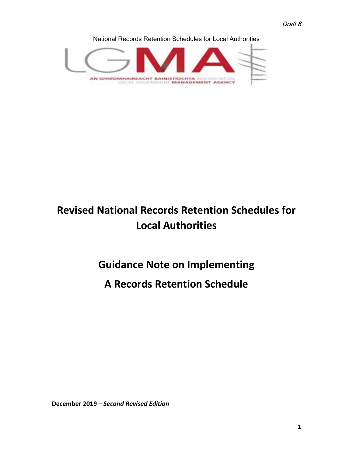Draft 8

National Records Retention Schedules for Local Authorities



# **Revised National Records Retention Schedules for Local Authorities**

# **Guidance Note on Implementing**

# **A Records Retention Schedule**

**December 2019 –** *Second Revised Edition*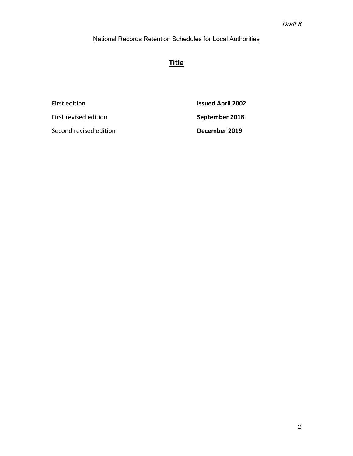## **Title**

| First edition          | <b>Issued April 2002</b> |
|------------------------|--------------------------|
| First revised edition  | September 2018           |
| Second revised edition | December 2019            |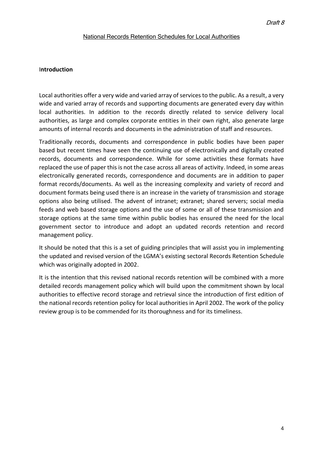#### I**ntroduction**

Local authorities offer a very wide and varied array of services to the public. As a result, a very wide and varied array of records and supporting documents are generated every day within local authorities. In addition to the records directly related to service delivery local authorities, as large and complex corporate entities in their own right, also generate large amounts of internal records and documents in the administration of staff and resources.

Traditionally records, documents and correspondence in public bodies have been paper based but recent times have seen the continuing use of electronically and digitally created records, documents and correspondence. While for some activities these formats have replaced the use of paper this is not the case across all areas of activity. Indeed, in some areas electronically generated records, correspondence and documents are in addition to paper format records/documents. As well as the increasing complexity and variety of record and document formats being used there is an increase in the variety of transmission and storage options also being utilised. The advent of intranet; extranet; shared servers; social media feeds and web based storage options and the use of some or all of these transmission and storage options at the same time within public bodies has ensured the need for the local government sector to introduce and adopt an updated records retention and record management policy.

It should be noted that this is a set of guiding principles that will assist you in implementing the updated and revised version of the LGMA's existing sectoral Records Retention Schedule which was originally adopted in 2002.

It is the intention that this revised national records retention will be combined with a more detailed records management policy which will build upon the commitment shown by local authorities to effective record storage and retrieval since the introduction of first edition of the national records retention policy for local authorities in April 2002. The work of the policy review group is to be commended for its thoroughness and for its timeliness.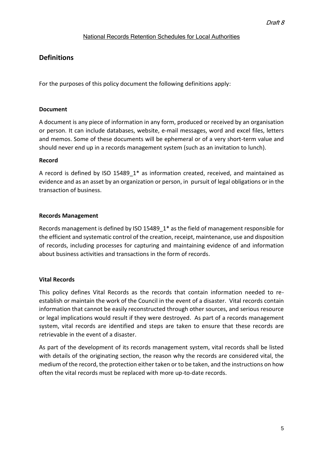## **Definitions**

For the purposes of this policy document the following definitions apply:

#### **Document**

A document is any piece of information in any form, produced or received by an organisation or person. It can include databases, website, e-mail messages, word and excel files, letters and memos. Some of these documents will be ephemeral or of a very short-term value and should never end up in a records management system (such as an invitation to lunch).

#### **Record**

A record is defined by ISO 15489\_1\* as information created, received, and maintained as evidence and as an asset by an organization or person, in pursuit of legal obligations or in the transaction of business.

## **Records Management**

Records management is defined by ISO 15489\_1\* as the field of management responsible for the efficient and systematic control of the creation, receipt, maintenance, use and disposition of records, including processes for capturing and maintaining evidence of and information about business activities and transactions in the form of records.

## **Vital Records**

This policy defines Vital Records as the records that contain information needed to reestablish or maintain the work of the Council in the event of a disaster. Vital records contain information that cannot be easily reconstructed through other sources, and serious resource or legal implications would result if they were destroyed. As part of a records management system, vital records are identified and steps are taken to ensure that these records are retrievable in the event of a disaster.

As part of the development of its records management system, vital records shall be listed with details of the originating section, the reason why the records are considered vital, the medium of the record, the protection either taken or to be taken, and the instructions on how often the vital records must be replaced with more up-to-date records.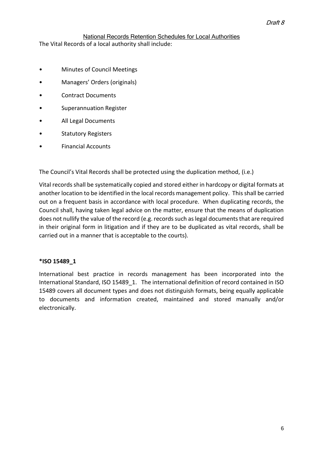The Vital Records of a local authority shall include:

- Minutes of Council Meetings
- Managers' Orders (originals)
- Contract Documents
- Superannuation Register
- All Legal Documents
- **Statutory Registers**
- Financial Accounts

The Council's Vital Records shall be protected using the duplication method, (i.e.)

Vital records shall be systematically copied and stored either in hardcopy or digital formats at another location to be identified in the local records management policy. This shall be carried out on a frequent basis in accordance with local procedure. When duplicating records, the Council shall, having taken legal advice on the matter, ensure that the means of duplication does not nullify the value of the record (e.g. records such as legal documents that are required in their original form in litigation and if they are to be duplicated as vital records, shall be carried out in a manner that is acceptable to the courts).

#### **\*ISO 15489\_1**

International best practice in records management has been incorporated into the International Standard, ISO 15489 1. The international definition of record contained in ISO 15489 covers all document types and does not distinguish formats, being equally applicable to documents and information created, maintained and stored manually and/or electronically.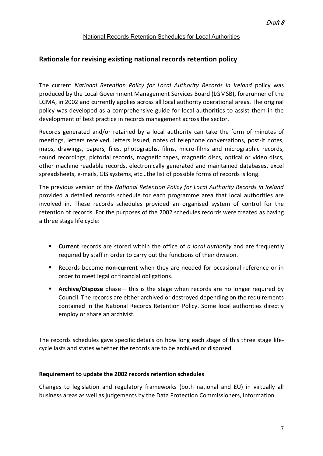## **Rationale for revising existing national records retention policy**

The current *National Retention Policy for Local Authority Records in Ireland* policy was produced by the Local Government Management Services Board (LGMSB), forerunner of the LGMA, in 2002 and currently applies across all local authority operational areas. The original policy was developed as a comprehensive guide for local authorities to assist them in the development of best practice in records management across the sector.

Records generated and/or retained by a local authority can take the form of minutes of meetings, letters received, letters issued, notes of telephone conversations, post-it notes, maps, drawings, papers, files, photographs, films, micro-films and micrographic records, sound recordings, pictorial records, magnetic tapes, magnetic discs, optical or video discs, other machine readable records, electronically generated and maintained databases, excel spreadsheets, e-mails, GIS systems, etc…the list of possible forms of records is long.

The previous version of the *National Retention Policy for Local Authority Records in Ireland* provided a detailed records schedule for each programme area that local authorities are involved in. These records schedules provided an organised system of control for the retention of records. For the purposes of the 2002 schedules records were treated as having a three stage life cycle:

- **Current** records are stored within the office of *a local authority* and are frequently required by staff in order to carry out the functions of their division.
- Records become **non-current** when they are needed for occasional reference or in order to meet legal or financial obligations.
- **E** Archive/Dispose phase this is the stage when records are no longer required by Council. The records are either archived or destroyed depending on the requirements contained in the National Records Retention Policy. Some local authorities directly employ or share an archivist*.*

The records schedules gave specific details on how long each stage of this three stage lifecycle lasts and states whether the records are to be archived or disposed.

#### **Requirement to update the 2002 records retention schedules**

Changes to legislation and regulatory frameworks (both national and EU) in virtually all business areas as well as judgements by the Data Protection Commissioners, Information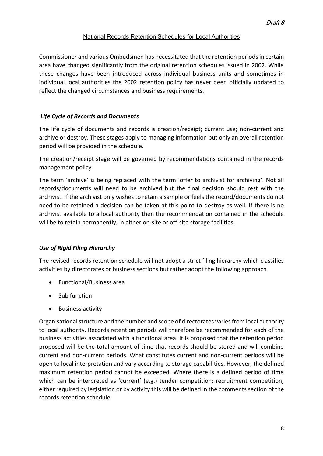Commissioner and various Ombudsmen has necessitated that the retention periods in certain area have changed significantly from the original retention schedules issued in 2002. While these changes have been introduced across individual business units and sometimes in individual local authorities the 2002 retention policy has never been officially updated to reflect the changed circumstances and business requirements.

### *Life Cycle of Records and Documents*

The life cycle of documents and records is creation/receipt; current use; non-current and archive or destroy. These stages apply to managing information but only an overall retention period will be provided in the schedule.

The creation/receipt stage will be governed by recommendations contained in the records management policy.

The term 'archive' is being replaced with the term 'offer to archivist for archiving'. Not all records/documents will need to be archived but the final decision should rest with the archivist. If the archivist only wishes to retain a sample or feels the record/documents do not need to be retained a decision can be taken at this point to destroy as well. If there is no archivist available to a local authority then the recommendation contained in the schedule will be to retain permanently, in either on-site or off-site storage facilities.

#### *Use of Rigid Filing Hierarchy*

The revised records retention schedule will not adopt a strict filing hierarchy which classifies activities by directorates or business sections but rather adopt the following approach

- Functional/Business area
- Sub function
- Business activity

Organisational structure and the number and scope of directorates varies from local authority to local authority. Records retention periods will therefore be recommended for each of the business activities associated with a functional area. It is proposed that the retention period proposed will be the total amount of time that records should be stored and will combine current and non-current periods. What constitutes current and non-current periods will be open to local interpretation and vary according to storage capabilities. However, the defined maximum retention period cannot be exceeded. Where there is a defined period of time which can be interpreted as 'current' (e.g.) tender competition; recruitment competition, either required by legislation or by activity this will be defined in the comments section of the records retention schedule.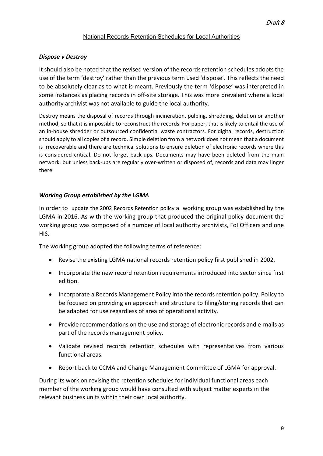## *Dispose v Destroy*

It should also be noted that the revised version of the records retention schedules adopts the use of the term 'destroy' rather than the previous term used 'dispose'. This reflects the need to be absolutely clear as to what is meant. Previously the term 'dispose' was interpreted in some instances as placing records in off-site storage. This was more prevalent where a local authority archivist was not available to guide the local authority.

Destroy means the disposal of records through incineration, pulping, shredding, deletion or another method, so that it is impossible to reconstruct the records. For paper, that is likely to entail the use of an in-house shredder or outsourced confidential waste contractors. For digital records, destruction should apply to all copies of a record. Simple deletion from a network does not mean that a document is irrecoverable and there are technical solutions to ensure deletion of electronic records where this is considered critical. Do not forget back-ups. Documents may have been deleted from the main network, but unless back-ups are regularly over-written or disposed of, records and data may linger there.

#### *Working Group established by the LGMA*

In order to update the 2002 Records Retention policy a working group was established by the LGMA in 2016. As with the working group that produced the original policy document the working group was composed of a number of local authority archivists, FoI Officers and one HIS.

The working group adopted the following terms of reference:

- Revise the existing LGMA national records retention policy first published in 2002.
- Incorporate the new record retention requirements introduced into sector since first edition.
- Incorporate a Records Management Policy into the records retention policy. Policy to be focused on providing an approach and structure to filing/storing records that can be adapted for use regardless of area of operational activity.
- Provide recommendations on the use and storage of electronic records and e-mails as part of the records management policy.
- Validate revised records retention schedules with representatives from various functional areas.
- Report back to CCMA and Change Management Committee of LGMA for approval.

During its work on revising the retention schedules for individual functional areas each member of the working group would have consulted with subject matter experts in the relevant business units within their own local authority.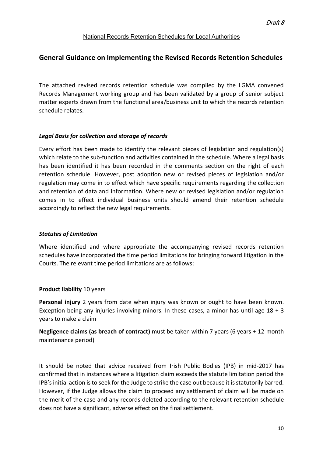## **General Guidance on Implementing the Revised Records Retention Schedules**

The attached revised records retention schedule was compiled by the LGMA convened Records Management working group and has been validated by a group of senior subject matter experts drawn from the functional area/business unit to which the records retention schedule relates.

#### *Legal Basis for collection and storage of records*

Every effort has been made to identify the relevant pieces of legislation and regulation(s) which relate to the sub-function and activities contained in the schedule. Where a legal basis has been identified it has been recorded in the comments section on the right of each retention schedule. However, post adoption new or revised pieces of legislation and/or regulation may come in to effect which have specific requirements regarding the collection and retention of data and information. Where new or revised legislation and/or regulation comes in to effect individual business units should amend their retention schedule accordingly to reflect the new legal requirements.

#### *Statutes of Limitation*

Where identified and where appropriate the accompanying revised records retention schedules have incorporated the time period limitations for bringing forward litigation in the Courts. The relevant time period limitations are as follows:

#### **Product liability** 10 years

**Personal injury** 2 years from date when injury was known or ought to have been known. Exception being any injuries involving minors. In these cases, a minor has until age  $18 + 3$ years to make a claim

**Negligence claims (as breach of contract)** must be taken within 7 years (6 years + 12-month maintenance period)

It should be noted that advice received from Irish Public Bodies (IPB) in mid-2017 has confirmed that in instances where a litigation claim exceeds the statute limitation period the IPB's initial action is to seek for the Judge to strike the case out because it is statutorily barred. However, if the Judge allows the claim to proceed any settlement of claim will be made on the merit of the case and any records deleted according to the relevant retention schedule does not have a significant, adverse effect on the final settlement.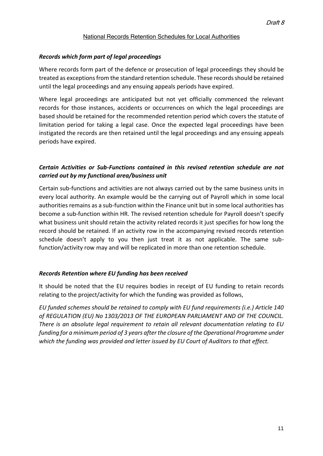#### *Records which form part of legal proceedings*

Where records form part of the defence or prosecution of legal proceedings they should be treated as exceptions from the standard retention schedule. These records should be retained until the legal proceedings and any ensuing appeals periods have expired.

Where legal proceedings are anticipated but not yet officially commenced the relevant records for those instances, accidents or occurrences on which the legal proceedings are based should be retained for the recommended retention period which covers the statute of limitation period for taking a legal case. Once the expected legal proceedings have been instigated the records are then retained until the legal proceedings and any ensuing appeals periods have expired.

## *Certain Activities or Sub-Functions contained in this revised retention schedule are not carried out by my functional area/business unit*

Certain sub-functions and activities are not always carried out by the same business units in every local authority. An example would be the carrying out of Payroll which in some local authorities remains as a sub-function within the Finance unit but in some local authorities has become a sub-function within HR. The revised retention schedule for Payroll doesn't specify what business unit should retain the activity related records it just specifies for how long the record should be retained. If an activity row in the accompanying revised records retention schedule doesn't apply to you then just treat it as not applicable. The same subfunction/activity row may and will be replicated in more than one retention schedule.

#### *Records Retention where EU funding has been received*

It should be noted that the EU requires bodies in receipt of EU funding to retain records relating to the project/activity for which the funding was provided as follows,

*EU funded schemes should be retained to comply with EU fund requirements (i.e.) Article 140 of REGULATION (EU) No 1303/2013 OF THE EUROPEAN PARLIAMENT AND OF THE COUNCIL. There is an absolute legal requirement to retain all relevant documentation relating to EU funding for a minimum period of 3 years after the closure of the Operational Programme under which the funding was provided and letter issued by EU Court of Auditors to that effect.*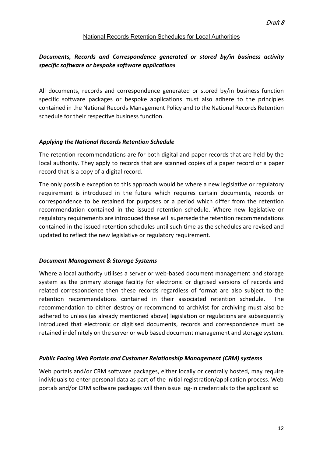## *Documents, Records and Correspondence generated or stored by/in business activity specific software or bespoke software applications*

All documents, records and correspondence generated or stored by/in business function specific software packages or bespoke applications must also adhere to the principles contained in the National Records Management Policy and to the National Records Retention schedule for their respective business function.

## *Applying the National Records Retention Schedule*

The retention recommendations are for both digital and paper records that are held by the local authority. They apply to records that are scanned copies of a paper record or a paper record that is a copy of a digital record.

The only possible exception to this approach would be where a new legislative or regulatory requirement is introduced in the future which requires certain documents, records or correspondence to be retained for purposes or a period which differ from the retention recommendation contained in the issued retention schedule. Where new legislative or regulatory requirements are introduced these will supersede the retention recommendations contained in the issued retention schedules until such time as the schedules are revised and updated to reflect the new legislative or regulatory requirement.

#### *Document Management & Storage Systems*

Where a local authority utilises a server or web-based document management and storage system as the primary storage facility for electronic or digitised versions of records and related correspondence then these records regardless of format are also subject to the retention recommendations contained in their associated retention schedule. The recommendation to either destroy or recommend to archivist for archiving must also be adhered to unless (as already mentioned above) legislation or regulations are subsequently introduced that electronic or digitised documents, records and correspondence must be retained indefinitely on the server or web based document management and storage system.

#### *Public Facing Web Portals and Customer Relationship Management (CRM) systems*

Web portals and/or CRM software packages, either locally or centrally hosted, may require individuals to enter personal data as part of the initial registration/application process. Web portals and/or CRM software packages will then issue log-in credentials to the applicant so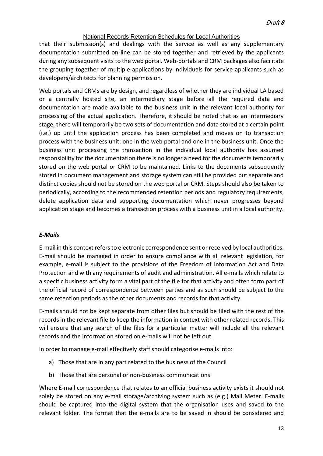that their submission(s) and dealings with the service as well as any supplementary documentation submitted on-line can be stored together and retrieved by the applicants during any subsequent visits to the web portal. Web-portals and CRM packages also facilitate the grouping together of multiple applications by individuals for service applicants such as developers/architects for planning permission.

Web portals and CRMs are by design, and regardless of whether they are individual LA based or a centrally hosted site, an intermediary stage before all the required data and documentation are made available to the business unit in the relevant local authority for processing of the actual application. Therefore, it should be noted that as an intermediary stage, there will temporarily be two sets of documentation and data stored at a certain point (i.e.) up until the application process has been completed and moves on to transaction process with the business unit: one in the web portal and one in the business unit. Once the business unit processing the transaction in the individual local authority has assumed responsibility for the documentation there is no longer a need for the documents temporarily stored on the web portal or CRM to be maintained. Links to the documents subsequently stored in document management and storage system can still be provided but separate and distinct copies should not be stored on the web portal or CRM. Steps should also be taken to periodically, according to the recommended retention periods and regulatory requirements, delete application data and supporting documentation which never progresses beyond application stage and becomes a transaction process with a business unit in a local authority.

#### *E-Mails*

E-mail in this context refers to electronic correspondence sent or received by local authorities. E-mail should be managed in order to ensure compliance with all relevant legislation, for example, e-mail is subject to the provisions of the Freedom of Information Act and Data Protection and with any requirements of audit and administration. All e-mails which relate to a specific business activity form a vital part of the file for that activity and often form part of the official record of correspondence between parties and as such should be subject to the same retention periods as the other documents and records for that activity.

E-mails should not be kept separate from other files but should be filed with the rest of the records in the relevant file to keep the information in context with other related records. This will ensure that any search of the files for a particular matter will include all the relevant records and the information stored on e-mails will not be left out.

In order to manage e-mail effectively staff should categorise e-mails into:

- a) Those that are in any part related to the business of the Council
- b) Those that are personal or non-business communications

Where E-mail correspondence that relates to an official business activity exists it should not solely be stored on any e-mail storage/archiving system such as (e.g.) Mail Meter. E-mails should be captured into the digital system that the organisation uses and saved to the relevant folder. The format that the e-mails are to be saved in should be considered and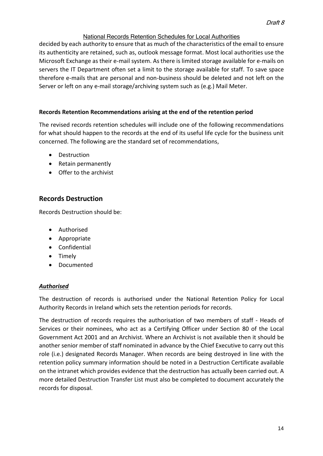decided by each authority to ensure that as much of the characteristics of the email to ensure its authenticity are retained, such as, outlook message format. Most local authorities use the Microsoft Exchange as their e-mail system. As there is limited storage available for e-mails on servers the IT Department often set a limit to the storage available for staff. To save space therefore e-mails that are personal and non-business should be deleted and not left on the Server or left on any e-mail storage/archiving system such as (e.g.) Mail Meter.

## **Records Retention Recommendations arising at the end of the retention period**

The revised records retention schedules will include one of the following recommendations for what should happen to the records at the end of its useful life cycle for the business unit concerned. The following are the standard set of recommendations,

- Destruction
- Retain permanently
- Offer to the archivist

## **Records Destruction**

Records Destruction should be:

- Authorised
- Appropriate
- Confidential
- Timely
- Documented

#### *Authorised*

The destruction of records is authorised under the National Retention Policy for Local Authority Records in Ireland which sets the retention periods for records.

The destruction of records requires the authorisation of two members of staff - Heads of Services or their nominees, who act as a Certifying Officer under Section 80 of the Local Government Act 2001 and an Archivist. Where an Archivist is not available then it should be another senior member of staff nominated in advance by the Chief Executive to carry out this role (i.e.) designated Records Manager. When records are being destroyed in line with the retention policy summary information should be noted in a Destruction Certificate available on the intranet which provides evidence that the destruction has actually been carried out. A more detailed Destruction Transfer List must also be completed to document accurately the records for disposal.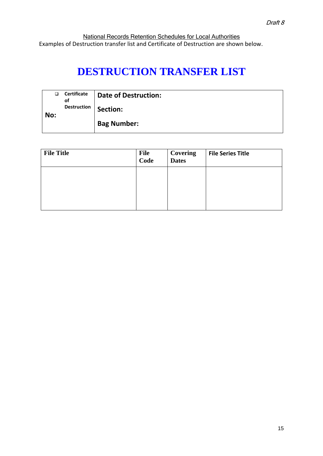National Records Retention Schedules for Local Authorities Examples of Destruction transfer list and Certificate of Destruction are shown below.

# **DESTRUCTION TRANSFER LIST**

| ❏   | Certificate<br>οf | Date of Destruction: |
|-----|-------------------|----------------------|
| No: | Destruction       | Section:             |
|     |                   | <b>Bag Number:</b>   |

| <b>File Title</b> | <b>File</b><br>Code | Covering<br><b>Dates</b> | <b>File Series Title</b> |
|-------------------|---------------------|--------------------------|--------------------------|
|                   |                     |                          |                          |
|                   |                     |                          |                          |
|                   |                     |                          |                          |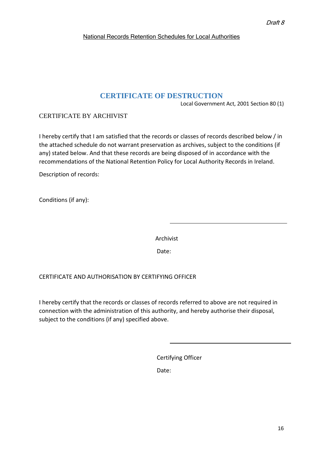## **CERTIFICATE OF DESTRUCTION**

Local Government Act, 2001 Section 80 (1)

## CERTIFICATE BY ARCHIVIST

I hereby certify that I am satisfied that the records or classes of records described below / in the attached schedule do not warrant preservation as archives, subject to the conditions (if any) stated below. And that these records are being disposed of in accordance with the recommendations of the National Retention Policy for Local Authority Records in Ireland.

Description of records:

Conditions (if any):

Archivist

de de la contrata de la contrata de la contrata de la contrata de la contrata de la contrata de la contrata de<br>Date:

#### CERTIFICATE AND AUTHORISATION BY CERTIFYING OFFICER

I hereby certify that the records or classes of records referred to above are not required in connection with the administration of this authority, and hereby authorise their disposal, subject to the conditions (if any) specified above.

Certifying Officer

Date: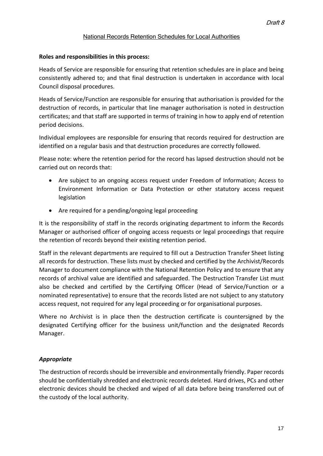#### **Roles and responsibilities in this process:**

Heads of Service are responsible for ensuring that retention schedules are in place and being consistently adhered to; and that final destruction is undertaken in accordance with local Council disposal procedures.

Heads of Service/Function are responsible for ensuring that authorisation is provided for the destruction of records, in particular that line manager authorisation is noted in destruction certificates; and that staff are supported in terms of training in how to apply end of retention period decisions.

Individual employees are responsible for ensuring that records required for destruction are identified on a regular basis and that destruction procedures are correctly followed.

Please note: where the retention period for the record has lapsed destruction should not be carried out on records that:

- Are subject to an ongoing access request under Freedom of Information; Access to Environment Information or Data Protection or other statutory access request legislation
- Are required for a pending/ongoing legal proceeding

It is the responsibility of staff in the records originating department to inform the Records Manager or authorised officer of ongoing access requests or legal proceedings that require the retention of records beyond their existing retention period.

Staff in the relevant departments are required to fill out a Destruction Transfer Sheet listing all records for destruction. These lists must by checked and certified by the Archivist/Records Manager to document compliance with the National Retention Policy and to ensure that any records of archival value are identified and safeguarded. The Destruction Transfer List must also be checked and certified by the Certifying Officer (Head of Service/Function or a nominated representative) to ensure that the records listed are not subject to any statutory access request, not required for any legal proceeding or for organisational purposes.

Where no Archivist is in place then the destruction certificate is countersigned by the designated Certifying officer for the business unit/function and the designated Records Manager.

#### *Appropriate*

The destruction of records should be irreversible and environmentally friendly. Paper records should be confidentially shredded and electronic records deleted. Hard drives, PCs and other electronic devices should be checked and wiped of all data before being transferred out of the custody of the local authority.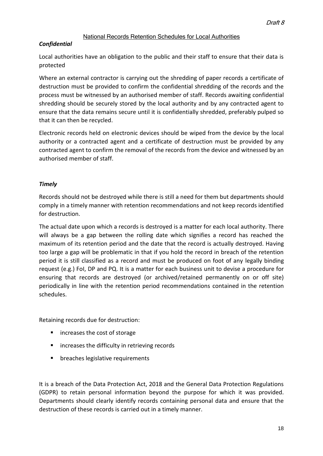## *Confidential*

Local authorities have an obligation to the public and their staff to ensure that their data is protected

Where an external contractor is carrying out the shredding of paper records a certificate of destruction must be provided to confirm the confidential shredding of the records and the process must be witnessed by an authorised member of staff. Records awaiting confidential shredding should be securely stored by the local authority and by any contracted agent to ensure that the data remains secure until it is confidentially shredded, preferably pulped so that it can then be recycled.

Electronic records held on electronic devices should be wiped from the device by the local authority or a contracted agent and a certificate of destruction must be provided by any contracted agent to confirm the removal of the records from the device and witnessed by an authorised member of staff.

## *Timely*

Records should not be destroyed while there is still a need for them but departments should comply in a timely manner with retention recommendations and not keep records identified for destruction.

The actual date upon which a records is destroyed is a matter for each local authority. There will always be a gap between the rolling date which signifies a record has reached the maximum of its retention period and the date that the record is actually destroyed. Having too large a gap will be problematic in that if you hold the record in breach of the retention period it is still classified as a record and must be produced on foot of any legally binding request (e.g.) FoI, DP and PQ. It is a matter for each business unit to devise a procedure for ensuring that records are destroyed (or archived/retained permanently on or off site) periodically in line with the retention period recommendations contained in the retention schedules.

Retaining records due for destruction:

- increases the cost of storage
- increases the difficulty in retrieving records
- breaches legislative requirements

It is a breach of the Data Protection Act, 2018 and the General Data Protection Regulations (GDPR) to retain personal information beyond the purpose for which it was provided. Departments should clearly identify records containing personal data and ensure that the destruction of these records is carried out in a timely manner.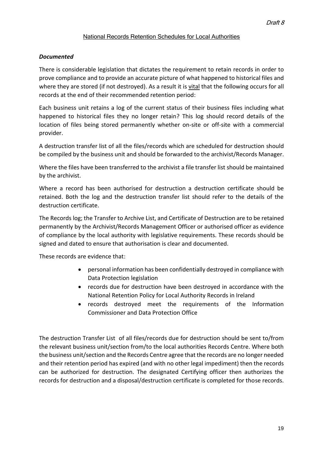### *Documented*

There is considerable legislation that dictates the requirement to retain records in order to prove compliance and to provide an accurate picture of what happened to historical files and where they are stored (if not destroyed). As a result it is vital that the following occurs for all records at the end of their recommended retention period:

Each business unit retains a log of the current status of their business files including what happened to historical files they no longer retain? This log should record details of the location of files being stored permanently whether on-site or off-site with a commercial provider.

A destruction transfer list of all the files/records which are scheduled for destruction should be compiled by the business unit and should be forwarded to the archivist/Records Manager.

Where the files have been transferred to the archivist a file transfer list should be maintained by the archivist.

Where a record has been authorised for destruction a destruction certificate should be retained. Both the log and the destruction transfer list should refer to the details of the destruction certificate.

The Records log; the Transfer to Archive List, and Certificate of Destruction are to be retained permanently by the Archivist/Records Management Officer or authorised officer as evidence of compliance by the local authority with legislative requirements. These records should be signed and dated to ensure that authorisation is clear and documented.

These records are evidence that:

- personal information has been confidentially destroyed in compliance with Data Protection legislation
- records due for destruction have been destroyed in accordance with the National Retention Policy for Local Authority Records in Ireland
- records destroyed meet the requirements of the Information Commissioner and Data Protection Office

The destruction Transfer List of all files/records due for destruction should be sent to/from the relevant business unit/section from/to the local authorities Records Centre. Where both the business unit/section and the Records Centre agree that the records are no longer needed and their retention period has expired (and with no other legal impediment) then the records can be authorized for destruction. The designated Certifying officer then authorizes the records for destruction and a disposal/destruction certificate is completed for those records.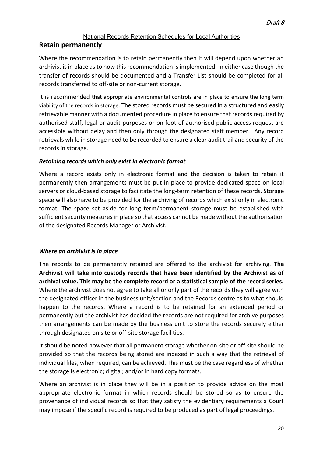## **Retain permanently**

Where the recommendation is to retain permanently then it will depend upon whether an archivist is in place as to how this recommendation is implemented. In either case though the transfer of records should be documented and a Transfer List should be completed for all records transferred to off-site or non-current storage.

It is recommended that appropriate environmental controls are in place to ensure the long term viability of the records in storage. The stored records must be secured in a structured and easily retrievable manner with a documented procedure in place to ensure that records required by authorised staff, legal or audit purposes or on foot of authorised public access request are accessible without delay and then only through the designated staff member. Any record retrievals while in storage need to be recorded to ensure a clear audit trail and security of the records in storage.

## *Retaining records which only exist in electronic format*

Where a record exists only in electronic format and the decision is taken to retain it permanently then arrangements must be put in place to provide dedicated space on local servers or cloud-based storage to facilitate the long-term retention of these records. Storage space will also have to be provided for the archiving of records which exist only in electronic format. The space set aside for long term/permanent storage must be established with sufficient security measures in place so that access cannot be made without the authorisation of the designated Records Manager or Archivist.

## *Where an archivist is in place*

The records to be permanently retained are offered to the archivist for archiving. **The Archivist will take into custody records that have been identified by the Archivist as of archival value. This may be the complete record or a statistical sample of the record series.** Where the archivist does not agree to take all or only part of the records they will agree with the designated officer in the business unit/section and the Records centre as to what should happen to the records. Where a record is to be retained for an extended period or permanently but the archivist has decided the records are not required for archive purposes then arrangements can be made by the business unit to store the records securely either through designated on site or off-site storage facilities.

It should be noted however that all permanent storage whether on-site or off-site should be provided so that the records being stored are indexed in such a way that the retrieval of individual files, when required, can be achieved. This must be the case regardless of whether the storage is electronic; digital; and/or in hard copy formats.

Where an archivist is in place they will be in a position to provide advice on the most appropriate electronic format in which records should be stored so as to ensure the provenance of individual records so that they satisfy the evidentiary requirements a Court may impose if the specific record is required to be produced as part of legal proceedings.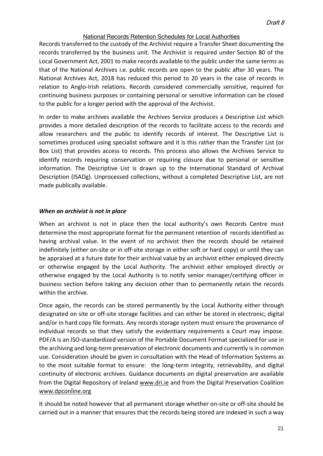Records transferred to the custody of the Archivist require a Transfer Sheet documenting the records transferred by the business unit. The Archivist is required under Section 80 of the Local Government Act, 2001 to make records available to the public under the same terms as that of the National Archives i.e. public records are open to the public after 30 years. The National Archives Act, 2018 has reduced this period to 20 years in the case of records in relation to Anglo-Irish relations. Records considered commercially sensitive, required for continuing business purposes or containing personal or sensitive information can be closed to the public for a longer period with the approval of the Archivist.

In order to make archives available the Archives Service produces a Descriptive List which provides a more detailed description of the records to facilitate access to the records and allow researchers and the public to identify records of interest. The Descriptive List is sometimes produced using specialist software and it is this rather than the Transfer List (or Box List) that provides access to records. This process also allows the Archives Service to identify records requiring conservation or requiring closure due to personal or sensitive information. The Descriptive List is drawn up to the International Standard of Archival Description (ISADg). Unprocessed collections, without a completed Descriptive List, are not made publically available.

#### *When an archivist is not in place*

When an archivist is not in place then the local authority's own Records Centre must determine the most appropriate format for the permanent retention of records identified as having archival value. In the event of no archivist then the records should be retained indefinitely (either on-site or in off-site storage in either soft or hard copy) or until they can be appraised at a future date for their archival value by an archivist either employed directly or otherwise engaged by the Local Authority. The archivist either employed directly or otherwise engaged by the Local Authority is to notify senior manager/certifying officer in business section before taking any decision other than to permanently retain the records within the archive.

Once again, the records can be stored permanently by the Local Authority either through designated on site or off-site storage facilities and can either be stored in electronic; digital and/or in hard copy file formats. Any records storage system must ensure the provenance of individual records so that they satisfy the evidentiary requirements a Court may impose. PDF/A is an ISO-standardized version of the Portable Document Format specialized for use in the archiving and long-term preservation of electronic documents and currently is in common use. Consideration should be given in consultation with the Head of Information Systems as to the most suitable format to ensure: the long-term integrity, retrievability, and digital continuity of electronic archives. Guidance documents on digital preservation are available from the Digital Repository of Ireland [www.dri.ie](http://www.dri.ie/) and from the Digital Preservation Coalition [www.dpconline.org](http://www.dpconline.org/)

It should be noted however that all permanent storage whether on-site or off-site should be carried out in a manner that ensures that the records being stored are indexed in such a way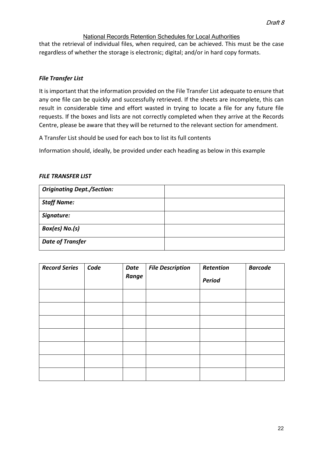that the retrieval of individual files, when required, can be achieved. This must be the case regardless of whether the storage is electronic; digital; and/or in hard copy formats.

## *File Transfer List*

It is important that the information provided on the File Transfer List adequate to ensure that any one file can be quickly and successfully retrieved. If the sheets are incomplete, this can result in considerable time and effort wasted in trying to locate a file for any future file requests. If the boxes and lists are not correctly completed when they arrive at the Records Centre, please be aware that they will be returned to the relevant section for amendment.

A Transfer List should be used for each box to list its full contents

Information should, ideally, be provided under each heading as below in this example

#### *FILE TRANSFER LIST*

| <b>Originating Dept./Section:</b> |  |
|-----------------------------------|--|
| <b>Staff Name:</b>                |  |
| Signature:                        |  |
| Box(es) No.(s)                    |  |
| <b>Date of Transfer</b>           |  |

| <b>Record Series</b> | Code | Date<br>Range | <b>File Description</b> | Retention<br><b>Period</b> | <b>Barcode</b> |
|----------------------|------|---------------|-------------------------|----------------------------|----------------|
|                      |      |               |                         |                            |                |
|                      |      |               |                         |                            |                |
|                      |      |               |                         |                            |                |
|                      |      |               |                         |                            |                |
|                      |      |               |                         |                            |                |
|                      |      |               |                         |                            |                |
|                      |      |               |                         |                            |                |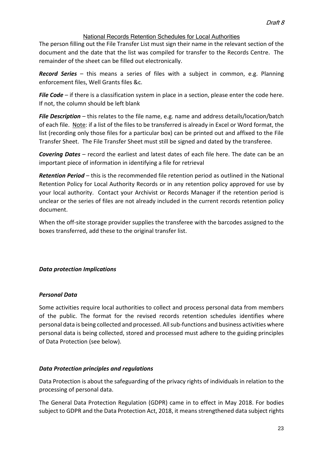The person filling out the File Transfer List must sign their name in the relevant section of the document and the date that the list was compiled for transfer to the Records Centre. The remainder of the sheet can be filled out electronically.

*Record Series* – this means a series of files with a subject in common, e.g. Planning enforcement files, Well Grants files &c.

*File Code* – if there is a classification system in place in a section, please enter the code here. If not, the column should be left blank

*File Description* – this relates to the file name, e.g. name and address details/location/batch of each file. Note: if a list of the files to be transferred is already in Excel or Word format, the list (recording only those files for a particular box) can be printed out and affixed to the File Transfer Sheet. The File Transfer Sheet must still be signed and dated by the transferee.

*Covering Dates* – record the earliest and latest dates of each file here. The date can be an important piece of information in identifying a file for retrieval

*Retention Period* – this is the recommended file retention period as outlined in the National Retention Policy for Local Authority Records or in any retention policy approved for use by your local authority. Contact your Archivist or Records Manager if the retention period is unclear or the series of files are not already included in the current records retention policy document.

When the off-site storage provider supplies the transferee with the barcodes assigned to the boxes transferred, add these to the original transfer list.

## *Data protection Implications*

#### *Personal Data*

Some activities require local authorities to collect and process personal data from members of the public. The format for the revised records retention schedules identifies where personal data is being collected and processed. All sub-functions and business activities where personal data is being collected, stored and processed must adhere to the guiding principles of Data Protection (see below).

#### *Data Protection principles and regulations*

Data Protection is about the safeguarding of the privacy rights of individuals in relation to the processing of personal data.

The General Data Protection Regulation (GDPR) came in to effect in May 2018. For bodies subject to GDPR and the Data Protection Act, 2018, it means strengthened data subject rights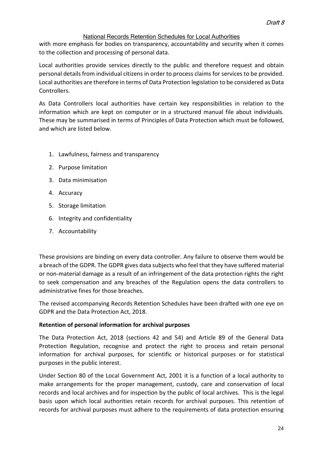with more emphasis for bodies on transparency, accountability and security when it comes to the collection and processing of personal data.

Local authorities provide services directly to the public and therefore request and obtain personal details from individual citizens in order to process claims for services to be provided. Local authorities are therefore in terms of Data Protection legislation to be considered as Data Controllers.

As Data Controllers local authorities have certain key responsibilities in relation to the information which are kept on computer or in a structured manual file about individuals. These may be summarised in terms of Principles of Data Protection which must be followed, and which are listed below.

- 1. Lawfulness, fairness and transparency
- 2. Purpose limitation
- 3. Data minimisation
- 4. Accuracy
- 5. Storage limitation
- 6. Integrity and confidentiality
- 7. Accountability

These provisions are binding on every data controller. Any failure to observe them would be a breach of the GDPR. The GDPR gives data subjects who feel that they have suffered material or non-material damage as a result of an infringement of the data protection rights the right to seek compensation and any breaches of the Regulation opens the data controllers to administrative fines for those breaches.

The revised accompanying Records Retention Schedules have been drafted with one eye on GDPR and the Data Protection Act, 2018.

#### **Retention of personal information for archival purposes**

The Data Protection Act, 2018 (sections 42 and 54) and Article 89 of the General Data Protection Regulation, recognise and protect the right to process and retain personal information for archival purposes, for scientific or historical purposes or for statistical purposes in the public interest.

Under Section 80 of the Local Government Act, 2001 it is a function of a local authority to make arrangements for the proper management, custody, care and conservation of local records and local archives and for inspection by the public of local archives. This is the legal basis upon which local authorities retain records for archival purposes. This retention of records for archival purposes must adhere to the requirements of data protection ensuring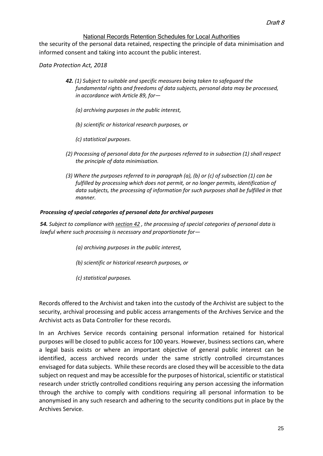the security of the personal data retained, respecting the principle of data minimisation and informed consent and taking into account the public interest.

*Data Protection Act, 2018*

- *42. (1) Subject to suitable and specific measures being taken to safeguard the fundamental rights and freedoms of data subjects, personal data may be processed, in accordance with Article 89, for—*
	- *(a) archiving purposes in the public interest,*
	- *(b) scientific or historical research purposes, or*
	- *(c) statistical purposes.*
- *(2) Processing of personal data for the purposes referred to in subsection (1) shall respect the principle of data minimisation.*
- *(3) Where the purposes referred to in paragraph (a), (b) or (c) of subsection (1) can be fulfilled by processing which does not permit, or no longer permits, identification of data subjects, the processing of information for such purposes shall be fulfilled in that manner.*

#### *Processing of special categories of personal data for archival purposes*

*54. Subject to compliance wit[h section 42](http://www.irishstatutebook.ie/2018/en/act/pub/0007/sec0042.html#sec42) , the processing of special categories of personal data is lawful where such processing is necessary and proportionate for—*

- *(a) archiving purposes in the public interest,*
- *(b) scientific or historical research purposes, or*
- *(c) statistical purposes.*

Records offered to the Archivist and taken into the custody of the Archivist are subject to the security, archival processing and public access arrangements of the Archives Service and the Archivist acts as Data Controller for these records.

In an Archives Service records containing personal information retained for historical purposes will be closed to public access for 100 years. However, business sections can, where a legal basis exists or where an important objective of general public interest can be identified, access archived records under the same strictly controlled circumstances envisaged for data subjects. While these records are closed they will be accessible to the data subject on request and may be accessible for the purposes of historical, scientific or statistical research under strictly controlled conditions requiring any person accessing the information through the archive to comply with conditions requiring all personal information to be anonymised in any such research and adhering to the security conditions put in place by the Archives Service.